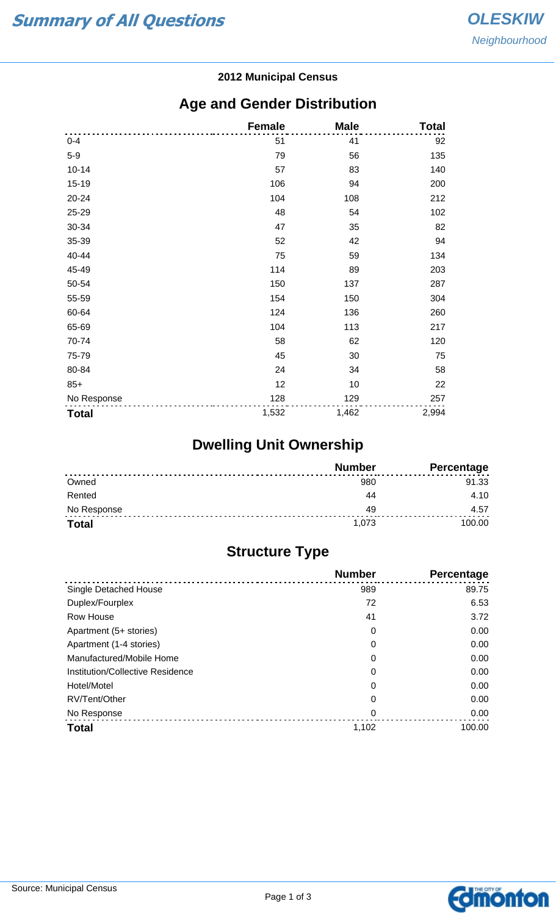#### **2012 Municipal Census**

## **Age and Gender Distribution**

|              | <b>Female</b> | <b>Male</b> | <b>Total</b> |
|--------------|---------------|-------------|--------------|
| $0 - 4$      | 51            | 41          | 92           |
| $5-9$        | 79            | 56          | 135          |
| $10 - 14$    | 57            | 83          | 140          |
| $15 - 19$    | 106           | 94          | 200          |
| 20-24        | 104           | 108         | 212          |
| 25-29        | 48            | 54          | 102          |
| 30-34        | 47            | 35          | 82           |
| 35-39        | 52            | 42          | 94           |
| 40-44        | 75            | 59          | 134          |
| 45-49        | 114           | 89          | 203          |
| 50-54        | 150           | 137         | 287          |
| 55-59        | 154           | 150         | 304          |
| 60-64        | 124           | 136         | 260          |
| 65-69        | 104           | 113         | 217          |
| 70-74        | 58            | 62          | 120          |
| 75-79        | 45            | 30          | 75           |
| 80-84        | 24            | 34          | 58           |
| $85+$        | 12            | 10          | 22           |
| No Response  | 128           | 129         | 257          |
| <b>Total</b> | 1,532         | 1,462       | 2,994        |

# **Dwelling Unit Ownership**

|              | <b>Number</b> | <b>Percentage</b> |
|--------------|---------------|-------------------|
| Owned        | 980           | 91.33             |
| Rented       | Λ4            | 4.10              |
| No Response  | 49            | 4.57              |
| <b>Total</b> | 1,073         | 100.00            |

## **Structure Type**

|                                  | <b>Number</b> | Percentage |
|----------------------------------|---------------|------------|
| Single Detached House            | 989           | 89.75      |
| Duplex/Fourplex                  | 72            | 6.53       |
| Row House                        | 41            | 3.72       |
| Apartment (5+ stories)           | 0             | 0.00       |
| Apartment (1-4 stories)          | 0             | 0.00       |
| Manufactured/Mobile Home         | 0             | 0.00       |
| Institution/Collective Residence | 0             | 0.00       |
| Hotel/Motel                      | 0             | 0.00       |
| RV/Tent/Other                    | 0             | 0.00       |
| No Response                      | 0             | 0.00       |
| <b>Total</b>                     | 1,102         | 100.00     |

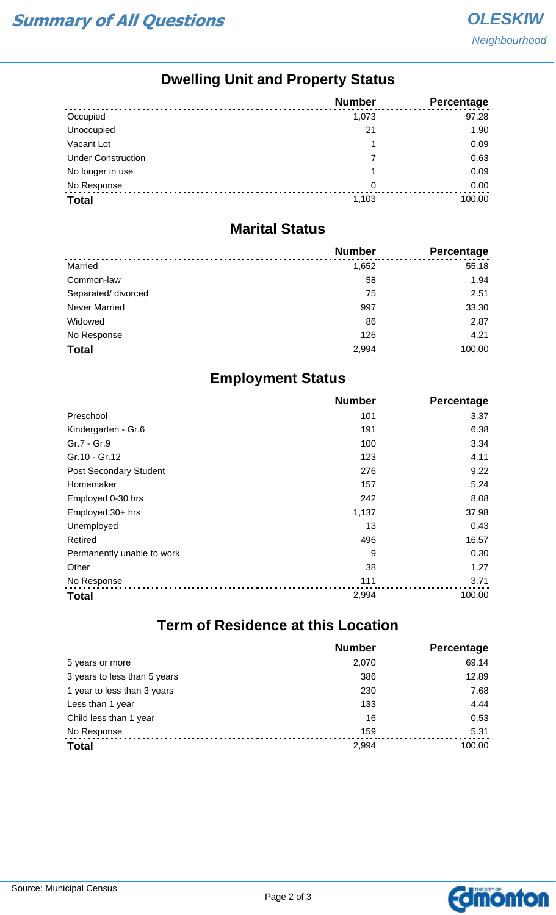## **Dwelling Unit and Property Status**

|                           | <b>Number</b> | <b>Percentage</b> |
|---------------------------|---------------|-------------------|
| Occupied                  | 1,073         | 97.28             |
| Unoccupied                | 21            | 1.90              |
| Vacant Lot                |               | 0.09              |
| <b>Under Construction</b> | 7             | 0.63              |
| No longer in use          |               | 0.09              |
| No Response               | 0             | 0.00              |
| <b>Total</b>              | 1,103         | 100.00            |

#### **Marital Status**

|                      | <b>Number</b> | Percentage |
|----------------------|---------------|------------|
| Married              | 1,652         | 55.18      |
| Common-law           | 58            | 1.94       |
| Separated/ divorced  | 75            | 2.51       |
| <b>Never Married</b> | 997           | 33.30      |
| Widowed              | 86            | 2.87       |
| No Response          | 126           | 4.21       |
| <b>Total</b>         | 2,994         | 100.00     |

## **Employment Status**

|                               | <b>Number</b> | Percentage |
|-------------------------------|---------------|------------|
| Preschool                     | 101           | 3.37       |
| Kindergarten - Gr.6           | 191           | 6.38       |
| Gr.7 - Gr.9                   | 100           | 3.34       |
| Gr.10 - Gr.12                 | 123           | 4.11       |
| <b>Post Secondary Student</b> | 276           | 9.22       |
| Homemaker                     | 157           | 5.24       |
| Employed 0-30 hrs             | 242           | 8.08       |
| Employed 30+ hrs              | 1,137         | 37.98      |
| Unemployed                    | 13            | 0.43       |
| Retired                       | 496           | 16.57      |
| Permanently unable to work    | 9             | 0.30       |
| Other                         | 38            | 1.27       |
| No Response                   | 111           | 3.71       |
| <b>Total</b>                  | 2,994         | 100.00     |

# **Term of Residence at this Location**

|                              | <b>Number</b> | Percentage |
|------------------------------|---------------|------------|
| 5 years or more              | 2,070         | 69.14      |
| 3 years to less than 5 years | 386           | 12.89      |
| 1 year to less than 3 years  | 230           | 7.68       |
| Less than 1 year             | 133           | 4.44       |
| Child less than 1 year       | 16            | 0.53       |
| No Response                  | 159           | 5.31       |
| <b>Total</b>                 | 2,994         | 100.00     |